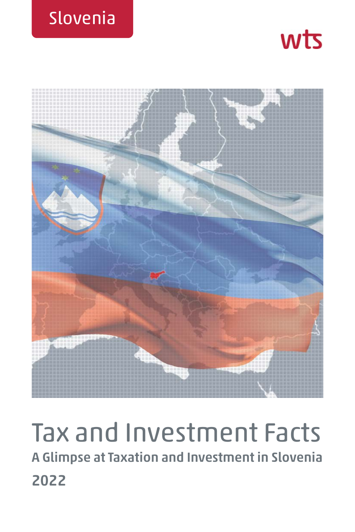





# Tax and Investment Facts **A Glimpse at Taxation and Investment in Slovenia 2022**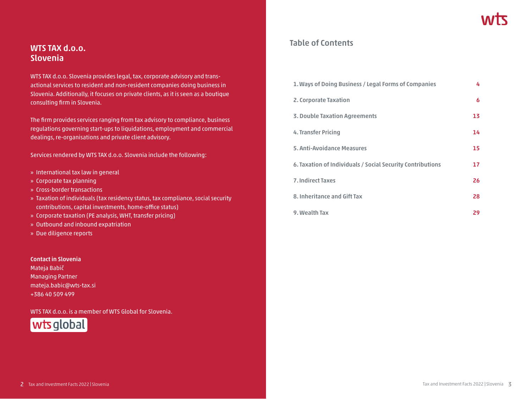### **WTS TAX d.o.o. Slovenia**

WTS TAX d.o.o. Slovenia provides legal, tax, corporate advisory and transactional services to resident and non-resident companies doing business in Slovenia. Additionally, it focuses on private clients, as it is seen as a boutique consulting firm in Slovenia.

The firm provides services ranging from tax advisory to compliance, business regulations governing start-ups to liquidations, employment and commercial dealings, re-organisations and private client advisory.

Services rendered by WTS TAX d.o.o. Slovenia include the following:

- » International tax law in general
- » Corporate tax planning
- » Cross-border transactions
- » Taxation of individuals (tax residency status, tax compliance, social security contributions, capital investments, home-office status)
- » Corporate taxation (PE analysis, WHT, transfer pricing)
- » Outbound and inbound expatriation
- » Due diligence reports

#### **Contact in Slovenia**

Mateja Babič Managing Partner mateja.babic@wts-tax.si +386 40 509 499

WTS TAX d.o.o. is a member of WTS Global for Slovenia.



### **Table of Contents**

| 1. Ways of Doing Business / Legal Forms of Companies       | 4  |
|------------------------------------------------------------|----|
| 2. Corporate Taxation                                      | 6  |
| <b>3. Double Taxation Agreements</b>                       | 13 |
| 4. Transfer Pricing                                        | 14 |
| 5. Anti-Avoidance Measures                                 | 15 |
| 6. Taxation of Individuals / Social Security Contributions | 17 |
| <b>7. Indirect Taxes</b>                                   | 26 |
| 8. Inheritance and Gift Tax                                | 28 |
| 9. Wealth Tax                                              | 29 |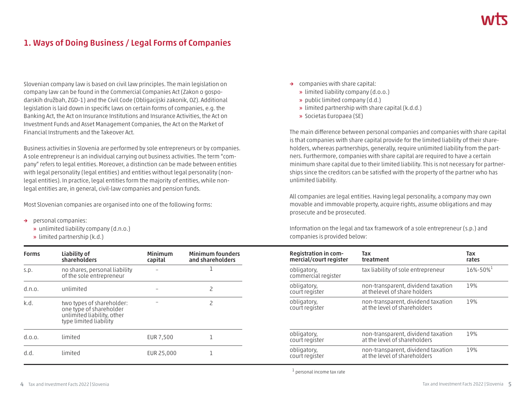## **1. Ways of Doing Business / Legal Forms of Companies**

Slovenian company law is based on civil law principles. The main legislation on company law can be found in the Commercial Companies Act (Zakon o gospodarskih družbah, ZGD-1) and the Civil Code (Obligacijski zakonik, OZ). Additional legislation is laid down in specific laws on certain forms of companies, e.g. the Banking Act, the Act on Insurance Institutions and Insurance Activities, the Act on Investment Funds and Asset Management Companies, the Act on the Market of Financial Instruments and the Takeover Act.

Business activities in Slovenia are performed by sole entrepreneurs or by companies. A sole entrepreneur is an individual carrying out business activities. The term "company" refers to legal entities. Moreover, a distinction can be made between entities with legal personality (legal entities) and entities without legal personality (nonlegal entities). In practice, legal entities form the majority of entities, while nonlegal entities are, in general, civil-law companies and pension funds.

Most Slovenian companies are organised into one of the following forms:

- **→** personal companies:
	- **»** unlimited liability company (d.n.o.)
	- **»** limited partnership (k.d.)

| <b>Forms</b> | Liability of<br>shareholders                                                                                 | Minimum<br>capital | <b>Minimum founders</b><br>and shareholders |
|--------------|--------------------------------------------------------------------------------------------------------------|--------------------|---------------------------------------------|
| S.D.         | no shares, personal liability<br>of the sole entrepreneur                                                    |                    |                                             |
| d.n.o.       | unlimited                                                                                                    |                    | 2                                           |
| k.d.         | two types of shareholder:<br>one type of shareholder<br>unlimited liability, other<br>type limited liability |                    | 2                                           |
| d.0.0.       | limited                                                                                                      | EUR 7,500          |                                             |
| h.h          | limited                                                                                                      | EUR 25,000         |                                             |

- **→** companies with share capital:
	- **»** limited liability company (d.o.o.)
	- **»** public limited company (d.d.)
	- **»** limited partnership with share capital (k.d.d.)
	- **»** Societas Europaea (SE)

The main difference between personal companies and companies with share capital is that companies with share capital provide for the limited liability of their shareholders, whereas partnerships, generally, require unlimited liability from the partners. Furthermore, companies with share capital are required to have a certain minimum share capital due to their limited liability. This is not necessary for partnerships since the creditors can be satisfied with the property of the partner who has unlimited liability.

All companies are legal entities. Having legal personality, a company may own movable and immovable property, acquire rights, assume obligations and may prosecute and be prosecuted.

Information on the legal and tax framework of a sole entrepreneur (s.p.) and companies is provided below:

| Registration in com-<br>mercial/court register | Tax<br>treatment                                                    | Tax<br>rates  |
|------------------------------------------------|---------------------------------------------------------------------|---------------|
| obligatory,<br>commercial register             | tax liability of sole entrepreneur                                  | $16\% - 50\%$ |
| obligatory,<br>court register                  | non-transparent, dividend taxation<br>at the level of share holders | 19%           |
| obligatory,<br>court register                  | non-transparent, dividend taxation<br>at the level of shareholders  | 19%           |
| obligatory,<br>court register                  | non-transparent, dividend taxation<br>at the level of shareholders  | 19%           |
| obligatory,<br>court register                  | non-transparent, dividend taxation<br>at the level of shareholders  | 19%           |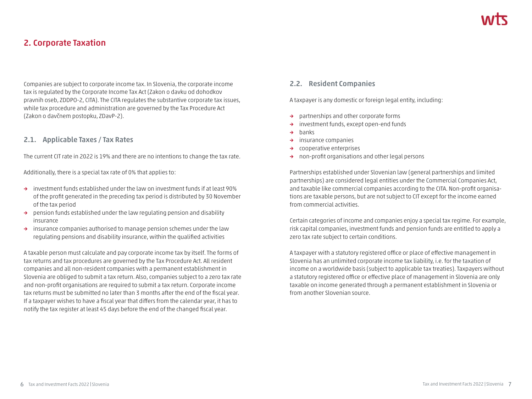### **2. Corporate Taxation**

Companies are subject to corporate income tax. In Slovenia, the corporate income tax is regulated by the Corporate Income Tax Act (Zakon o davku od dohodkov pravnih oseb, ZDDPO-2, CITA). The CITA regulates the substantive corporate tax issues, while tax procedure and administration are governed by the Tax Procedure Act (Zakon o davčnem postopku, ZDavP-2).

#### **2.1. Applicable Taxes / Tax Rates**

The current CIT rate in 2022 is 19% and there are no intentions to change the tax rate.

Additionally, there is a special tax rate of 0% that applies to:

- **→** investment funds established under the law on investment funds if at least 90% of the profit generated in the preceding tax period is distributed by 30 November of the tax period
- **→** pension funds established under the law regulating pension and disability insurance
- **→** insurance companies authorised to manage pension schemes under the law regulating pensions and disability insurance, within the qualified activities

A taxable person must calculate and pay corporate income tax by itself. The forms of tax returns and tax procedures are governed by the Tax Procedure Act. All resident companies and all non-resident companies with a permanent establishment in Slovenia are obliged to submit a tax return. Also, companies subject to a zero tax rate and non-profit organisations are required to submit a tax return. Corporate income tax returns must be submitted no later than 3 months after the end of the fiscal year. If a taxpayer wishes to have a fiscal year that differs from the calendar year, it has to notify the tax register at least 45 days before the end of the changed fiscal year.

#### **2.2. Resident Companies**

A taxpayer is any domestic or foreign legal entity, including:

- **→** partnerships and other corporate forms
- **→** investment funds, except open-end funds
- **→** banks
- **→** insurance companies
- **→** cooperative enterprises
- **→** non-profit organisations and other legal persons

Partnerships established under Slovenian law (general partnerships and limited partnerships) are considered legal entities under the Commercial Companies Act, and taxable like commercial companies according to the CITA. Non-profit organisations are taxable persons, but are not subject to CIT except for the income earned from commercial activities.

Certain categories of income and companies enjoy a special tax regime. For example, risk capital companies, investment funds and pension funds are entitled to apply a zero tax rate subject to certain conditions.

A taxpayer with a statutory registered office or place of effective management in Slovenia has an unlimited corporate income tax liability, i.e. for the taxation of income on a worldwide basis (subject to applicable tax treaties). Taxpayers without a statutory registered office or effective place of management in Slovenia are only taxable on income generated through a permanent establishment in Slovenia or from another Slovenian source.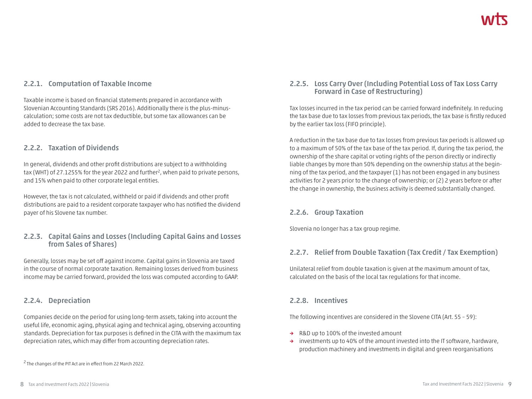### **2.2.1. Computation of Taxable Income**

Taxable income is based on financial statements prepared in accordance with Slovenian Accounting Standards (SRS 2016). Additionally there is the plus-minuscalculation; some costs are not tax deductible, but some tax allowances can be added to decrease the tax base.

#### **2.2.2. Taxation of Dividends**

In general, dividends and other profit distributions are subject to a withholding tax (WHT) of 27.1255% for the year 2022 and further<sup>2</sup>, when paid to private persons, and 15% when paid to other corporate legal entities.

However, the tax is not calculated, withheld or paid if dividends and other profit distributions are paid to a resident corporate taxpayer who has notified the dividend payer of his Slovene tax number.

### **2.2.3. Capital Gains and Losses (Including Capital Gains and Losses from Sales of Shares)**

Generally, losses may be set off against income. Capital gains in Slovenia are taxed in the course of normal corporate taxation. Remaining losses derived from business income may be carried forward, provided the loss was computed according to GAAP.

### **2.2.4. Depreciation**

Companies decide on the period for using long-term assets, taking into account the useful life, economic aging, physical aging and technical aging, observing accounting standards. Depreciation for tax purposes is defined in the CITA with the maximum tax depreciation rates, which may differ from accounting depreciation rates.

### **2.2.5. Loss Carry Over (Including Potential Loss of Tax Loss Carry Forward in Case of Restructuring)**

Tax losses incurred in the tax period can be carried forward indefinitely. In reducing the tax base due to tax losses from previous tax periods, the tax base is firstly reduced by the earlier tax loss (FIFO principle).

A reduction in the tax base due to tax losses from previous tax periods is allowed up to a maximum of 50% of the tax base of the tax period. If, during the tax period, the ownership of the share capital or voting rights of the person directly or indirectly liable changes by more than 50% depending on the ownership status at the beginning of the tax period, and the taxpayer (1) has not been engaged in any business activities for 2 years prior to the change of ownership; or (2) 2 years before or after the change in ownership, the business activity is deemed substantially changed.

### **2.2.6. Group Taxation**

Slovenia no longer has a tax group regime.

### **2.2.7. Relief from Double Taxation (Tax Credit / Tax Exemption)**

Unilateral relief from double taxation is given at the maximum amount of tax, calculated on the basis of the local tax regulations for that income.

#### **2.2.8. Incentives**

The following incentives are considered in the Slovene CITA (Art. 55 – 59):

- **→** R&D up to 100% of the invested amount
- **→** investments up to 40% of the amount invested into the IT software, hardware, production machinery and investments in digital and green reorganisations

<sup>&</sup>lt;sup>2</sup> The changes of the PIT Act are in effect from 22 March 2022.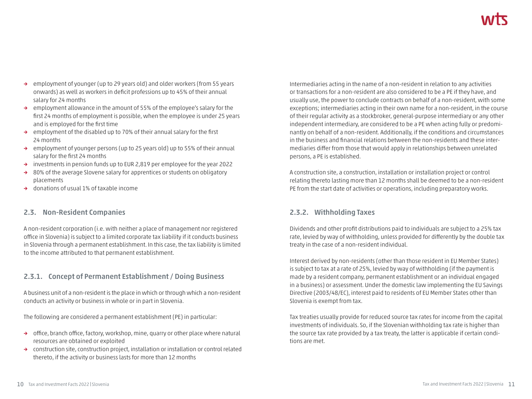- **→** employment of younger (up to 29 years old) and older workers (from 55 years onwards) as well as workers in deficit professions up to 45% of their annual salary for 24 months
- **→** employment allowance in the amount of 55% of the employee's salary for the first 24 months of employment is possible, when the employee is under 25 years and is employed for the first time
- **→** employment of the disabled up to 70% of their annual salary for the first 24 months
- **→** employment of younger persons (up to 25 years old) up to 55% of their annual salary for the first 24 months
- **→** investments in pension funds up to EUR 2,819 per employee for the year 2022
- **→** 80% of the average Slovene salary for apprentices or students on obligatory placements
- **→** donations of usual 1% of taxable income

### **2.3. Non-Resident Companies**

A non-resident corporation (i.e. with neither a place of management nor registered office in Slovenia) is subject to a limited corporate tax liability if it conducts business in Slovenia through a permanent establishment. In this case, the tax liability is limited to the income attributed to that permanent establishment.

### **2.3.1. Concept of Permanent Establishment / Doing Business**

A business unit of a non-resident is the place in which or through which a non-resident conducts an activity or business in whole or in part in Slovenia.

The following are considered a permanent establishment (PE) in particular:

- **→** office, branch office, factory, workshop, mine, quarry or other place where natural resources are obtained or exploited
- **→** construction site, construction project, installation or installation or control related thereto, if the activity or business lasts for more than 12 months

Intermediaries acting in the name of a non-resident in relation to any activities or transactions for a non-resident are also considered to be a PE if they have, and usually use, the power to conclude contracts on behalf of a non-resident, with some exceptions; intermediaries acting in their own name for a non-resident, in the course of their regular activity as a stockbroker, general-purpose intermediary or any other independent intermediary, are considered to be a PE when acting fully or predominantly on behalf of a non-resident. Additionally, if the conditions and circumstances in the business and financial relations between the non-residents and these intermediaries differ from those that would apply in relationships between unrelated persons, a PE is established.

A construction site, a construction, installation or installation project or control relating thereto lasting more than 12 months shall be deemed to be a non-resident PE from the start date of activities or operations, including preparatory works.

### **2.3.2. Withholding Taxes**

Dividends and other profit distributions paid to individuals are subject to a 25% tax rate, levied by way of withholding, unless provided for differently by the double tax treaty in the case of a non-resident individual.

Interest derived by non-residents (other than those resident in EU Member States) is subject to tax at a rate of 25%, levied by way of withholding (if the payment is made by a resident company, permanent establishment or an individual engaged in a business) or assessment. Under the domestic law implementing the EU Savings Directive (2003/48/EC), interest paid to residents of EU Member States other than Slovenia is exempt from tax.

Tax treaties usually provide for reduced source tax rates for income from the capital investments of individuals. So, if the Slovenian withholding tax rate is higher than the source tax rate provided by a tax treaty, the latter is applicable if certain conditions are met.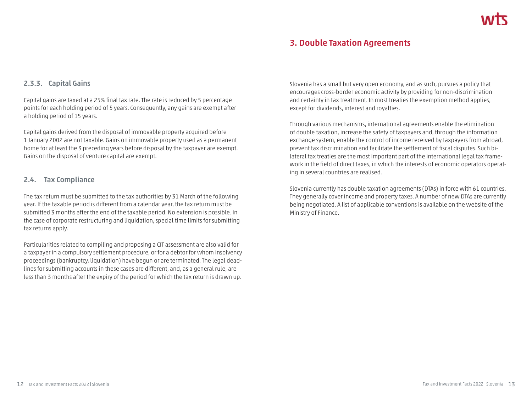### **3. Double Taxation Agreements**

#### **2.3.3. Capital Gains**

Capital gains are taxed at a 25% final tax rate. The rate is reduced by 5 percentage points for each holding period of 5 years. Consequently, any gains are exempt after a holding period of 15 years.

Capital gains derived from the disposal of immovable property acquired before 1 January 2002 are not taxable. Gains on immovable property used as a permanent home for at least the 3 preceding years before disposal by the taxpayer are exempt. Gains on the disposal of venture capital are exempt.

#### **2.4. Tax Compliance**

The tax return must be submitted to the tax authorities by 31 March of the following year. If the taxable period is different from a calendar year, the tax return must be submitted 3 months after the end of the taxable period. No extension is possible. In the case of corporate restructuring and liquidation, special time limits for submitting tax returns apply.

Particularities related to compiling and proposing a CIT assessment are also valid for a taxpayer in a compulsory settlement procedure, or for a debtor for whom insolvency proceedings (bankruptcy, liquidation) have begun or are terminated. The legal deadlines for submitting accounts in these cases are different, and, as a general rule, are less than 3 months after the expiry of the period for which the tax return is drawn up. Slovenia has a small but very open economy, and as such, pursues a policy that encourages cross-border economic activity by providing for non-discrimination and certainty in tax treatment. In most treaties the exemption method applies, except for dividends, interest and royalties.

Through various mechanisms, international agreements enable the elimination of double taxation, increase the safety of taxpayers and, through the information exchange system, enable the control of income received by taxpayers from abroad, prevent tax discrimination and facilitate the settlement of fiscal disputes. Such bilateral tax treaties are the most important part of the international legal tax framework in the field of direct taxes, in which the interests of economic operators operating in several countries are realised.

Slovenia currently has double taxation agreements (DTAs) in force with 61 countries. They generally cover income and property taxes. A number of new DTAs are currently being negotiated. A list of applicable conventions is available on the website of the Ministry of Finance.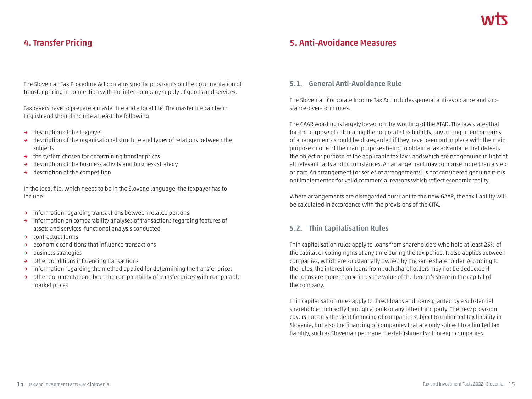### **4. Transfer Pricing**

The Slovenian Tax Procedure Act contains specific provisions on the documentation of transfer pricing in connection with the inter-company supply of goods and services.

Taxpayers have to prepare a master file and a local file. The master file can be in English and should include at least the following:

- **→** description of the taxpayer
- **→** description of the organisational structure and types of relations between the subjects
- **→** the system chosen for determining transfer prices
- **→** description of the business activity and business strategy
- **→** description of the competition

In the local file, which needs to be in the Slovene language, the taxpayer has to include:

- **→** information regarding transactions between related persons
- **→** information on comparability analyses of transactions regarding features of assets and services, functional analysis conducted
- **→** contractual terms
- **→** economic conditions that influence transactions
- **→** business strategies
- **→** other conditions influencing transactions
- **→** information regarding the method applied for determining the transfer prices
- **→** other documentation about the comparability of transfer prices with comparable market prices

### **5. Anti-Avoidance Measures**

#### **5.1. General Anti-Avoidance Rule**

The Slovenian Corporate Income Tax Act includes general anti-avoidance and substance-over-form rules.

The GAAR wording is largely based on the wording of the ATAD. The law states that for the purpose of calculating the corporate tax liability, any arrangement or series of arrangements should be disregarded if they have been put in place with the main purpose or one of the main purposes being to obtain a tax advantage that defeats the object or purpose of the applicable tax law, and which are not genuine in light of all relevant facts and circumstances. An arrangement may comprise more than a step or part. An arrangement (or series of arrangements) is not considered genuine if it is not implemented for valid commercial reasons which reflect economic reality.

Where arrangements are disregarded pursuant to the new GAAR, the tax liability will be calculated in accordance with the provisions of the CITA.

#### **5.2. Thin Capitalisation Rules**

Thin capitalisation rules apply to loans from shareholders who hold at least 25% of the capital or voting rights at any time during the tax period. It also applies between companies, which are substantially owned by the same shareholder. According to the rules, the interest on loans from such shareholders may not be deducted if the loans are more than 4 times the value of the lender's share in the capital of the company.

Thin capitalisation rules apply to direct loans and loans granted by a substantial shareholder indirectly through a bank or any other third party. The new provision covers not only the debt financing of companies subject to unlimited tax liability in Slovenia, but also the financing of companies that are only subject to a limited tax liability, such as Slovenian permanent establishments of foreign companies.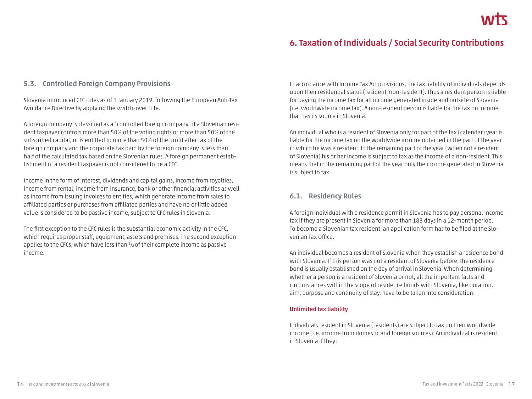### **6. Taxation of Individuals / Social Security Contributions**

#### **5.3. Controlled Foreign Company Provisions**

Slovenia introduced CFC rules as of 1 January 2019, following the European Anti-Tax Avoidance Directive by applying the switch-over rule.

A foreign company is classified as a "controlled foreign company" if a Slovenian resident taxpayer controls more than 50% of the voting rights or more than 50% of the subscribed capital, or is entitled to more than 50% of the profit after tax of the foreign company and the corporate tax paid by the foreign company is less than half of the calculated tax based on the Slovenian rules. A foreign permanent establishment of a resident taxpayer is not considered to be a CFC.

Income in the form of interest, dividends and capital gains, income from royalties, income from rental, income from insurance, bank or other financial activities as well as income from issuing invoices to entities, which generate income from sales to affiliated parties or purchases from affiliated parties and have no or little added value is considered to be passive income, subject to CFC rules in Slovenia.

The first exception to the CFC rules is the substantial economic activity in the CFC, which requires proper staff, equipment, assets and premises. The second exception applies to the CFCs, which have less than <sup>1</sup>/s of their complete income as passive income.

In accordance with Income Tax Act provisions, the tax liability of individuals depends upon their residential status (resident, non-resident). Thus a resident person is liable for paying the income tax for all income generated inside and outside of Slovenia (i.e. worldwide income tax). A non-resident person is liable for the tax on income that has its source in Slovenia.

An individual who is a resident of Slovenia only for part of the tax (calendar) year is liable for the income tax on the worldwide income obtained in the part of the year in which he was a resident. In the remaining part of the year (when not a resident of Slovenia) his or her income is subject to tax as the income of a non-resident. This means that in the remaining part of the year only the income generated in Slovenia is subject to tax.

#### **6.1. Residency Rules**

A foreign individual with a residence permit in Slovenia has to pay personal income tax if they are present in Slovenia for more than 183 days in a 12-month period. To become a Slovenian tax resident, an application form has to be filed at the Slovenian Tax Office.

An individual becomes a resident of Slovenia when they establish a residence bond with Slovenia. If this person was not a resident of Slovenia before, the residence bond is usually established on the day of arrival in Slovenia. When determining whether a person is a resident of Slovenia or not, all the important facts and circumstances within the scope of residence bonds with Slovenia, like duration, aim, purpose and continuity of stay, have to be taken into consideration.

#### **Unlimited tax liability**

Individuals resident in Slovenia (residents) are subject to tax on their worldwide income (i.e. income from domestic and foreign sources). An individual is resident in Slovenia if they: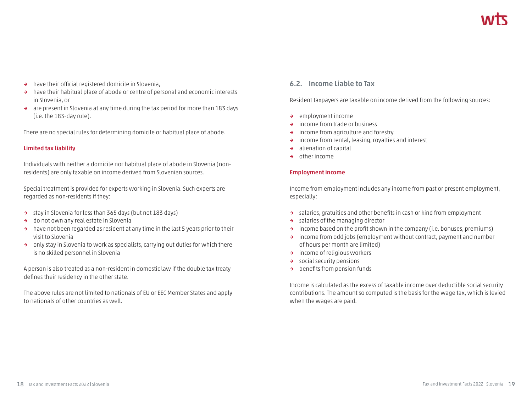- **→** have their official registered domicile in Slovenia,
- **→** have their habitual place of abode or centre of personal and economic interests in Slovenia, or
- **→** are present in Slovenia at any time during the tax period for more than 183 days (i.e. the 183-day rule).

There are no special rules for determining domicile or habitual place of abode.

#### **Limited tax liability**

Individuals with neither a domicile nor habitual place of abode in Slovenia (nonresidents) are only taxable on income derived from Slovenian sources.

Special treatment is provided for experts working in Slovenia. Such experts are regarded as non-residents if they:

- **→** stay in Slovenia for less than 365 days (but not 183 days)
- **→** do not own any real estate in Slovenia
- **→** have not been regarded as resident at any time in the last 5 years prior to their visit to Slovenia
- **→** only stay in Slovenia to work as specialists, carrying out duties for which there is no skilled personnel in Slovenia

A person is also treated as a non-resident in domestic law if the double tax treaty defines their residency in the other state.

The above rules are not limited to nationals of EU or EEC Member States and apply to nationals of other countries as well.

#### **6.2. Income Liable to Tax**

Resident taxpayers are taxable on income derived from the following sources:

- **→** employment income
- **→** income from trade or business
- **→** income from agriculture and forestry
- **→** income from rental, leasing, royalties and interest
- **→** alienation of capital
- **→** other income

#### **Employment income**

Income from employment includes any income from past or present employment, especially:

- **→** salaries, gratuities and other benefits in cash or kind from employment
- **→** salaries of the managing director
- **→** income based on the profit shown in the company (i.e. bonuses, premiums)
- **→** income from odd jobs (employment without contract, payment and number of hours per month are limited)
- **→** income of religious workers
- **→** social security pensions
- **→** benefits from pension funds

Income is calculated as the excess of taxable income over deductible social security contributions. The amount so computed is the basis for the wage tax, which is levied when the wages are paid.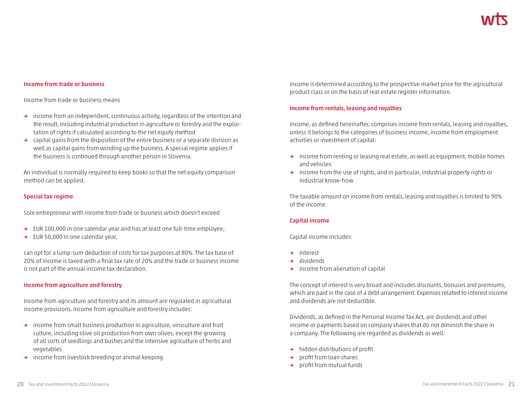#### **Income from trade or business**

Income from trade or business means

- **→** income from an independent, continuous activity, regardless of the intention and the result, including industrial production in agriculture or forestry and the exploitation of rights if calculated according to the net equity method
- **→** capital gains from the disposition of the entire business or a separate division as well as capital gains from winding up the business. A special regime applies if the business is continued through another person in Slovenia.

An individual is normally required to keep books so that the net equity comparison method can be applied.

#### **Special tax regime**

Sole entrepreneur with income from trade or business which doesn't exceed

- **→** EUR 100,000 in one calendar year and has at least one full-time employee,
- **→** EUR 50,000 in one calendar year,

can opt for a lump-sum deduction of costs for tax purposes at 80%. The tax base of 20% of income is taxed with a final tax rate of 20% and the trade or business income is not part of the annual income tax declaration.

#### **Income from agriculture and forestry**

Income from agriculture and forestry and its amount are regulated in agricultural income provisions. Income from agriculture and forestry includes:

- **→** income from small business production in agriculture, viniculture and fruit culture, including olive oil production from own olives, except the growing of all sorts of seedlings and bushes and the intensive agriculture of herbs and vegetables
- **→** income from livestock breeding or animal keeping

Income is determined according to the prospective market price for the agricultural product class or on the basis of real estate register information.

#### **Income from rentals, leasing and royalties**

Income, as defined hereinafter, comprises income from rentals, leasing and royalties, unless it belongs to the categories of business income, income from employment activities or investment of capital:

- **→** income from renting or leasing real estate, as well as equipment, mobile homes and vehicles
- **→** income from the use of rights, and in particular, industrial property rights or industrial know-how

The taxable amount on income from rentals, leasing and royalties is limited to 90% of the income.

#### **Capital income**

Capital income includes:

- **→** interest
- **→** dividends
- **→** income from alienation of capital

The concept of interest is very broad and includes discounts, bonuses and premiums, which are paid in the case of a debt arrangement. Expenses related to interest income and dividends are not deductible.

Dividends, as defined in the Personal Income Tax Act, are dividends and other income or payments based on company shares that do not diminish the share in a company. The following are regarded as dividends as well:

- **→** hidden distributions of profit
- **→** profit from loan shares
- **→** profit from mutual funds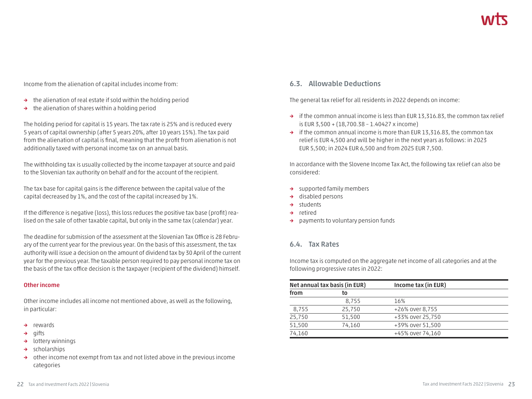Income from the alienation of capital includes income from:

- **→** the alienation of real estate if sold within the holding period
- **→** the alienation of shares within a holding period

The holding period for capital is 15 years. The tax rate is 25% and is reduced every 5 years of capital ownership (after 5 years 20%, after 10 years 15%). The tax paid from the alienation of capital is final, meaning that the profit from alienation is not additionally taxed with personal income tax on an annual basis.

The withholding tax is usually collected by the income taxpayer at source and paid to the Slovenian tax authority on behalf and for the account of the recipient.

The tax base for capital gains is the difference between the capital value of the capital decreased by 1%, and the cost of the capital increased by 1%.

If the difference is negative (loss), this loss reduces the positive tax base (profit) realised on the sale of other taxable capital, but only in the same tax (calendar) year.

The deadline for submission of the assessment at the Slovenian Tax Office is 28 February of the current year for the previous year. On the basis of this assessment, the tax authority will issue a decision on the amount of dividend tax by 30 April of the current year for the previous year. The taxable person required to pay personal income tax on the basis of the tax office decision is the taxpayer (recipient of the dividend) himself.

#### **Other income**

Other income includes all income not mentioned above, as well as the following, in particular:

- **→** rewards
- **→** gifts
- **→** lottery winnings
- **→** scholarships
- **→** other income not exempt from tax and not listed above in the previous income categories

#### **6.3. Allowable Deductions**

The general tax relief for all residents in 2022 depends on income:

- **→** if the common annual income is less than EUR 13,316.83, the common tax relief is EUR 3,500 + (18,700.38 – 1.40427 x income)
- **→** if the common annual income is more than EUR 13,316.83, the common tax relief is EUR 4,500 and will be higher in the next years as follows: in 2023 EUR 5,500; in 2024 EUR 6,500 and from 2025 EUR 7,500.

In accordance with the Slovene Income Tax Act, the following tax relief can also be considered:

- **→** supported family members
- **→** disabled persons
- **→** students
- **→** retired
- **→** payments to voluntary pension funds

#### **6.4. Tax Rates**

Income tax is computed on the aggregate net income of all categories and at the following progressive rates in 2022:

|        | Net annual tax basis (in EUR) | Income tax (in EUR) |  |
|--------|-------------------------------|---------------------|--|
| from   | to                            |                     |  |
|        | 8.755                         | 16%                 |  |
| 8,755  | 25,750                        | +26% over 8,755     |  |
| 25,750 | 51,500                        | +33% over 25,750    |  |
| 51,500 | 74,160                        | +39% over 51,500    |  |
| 74,160 |                               | +45% over 74,160    |  |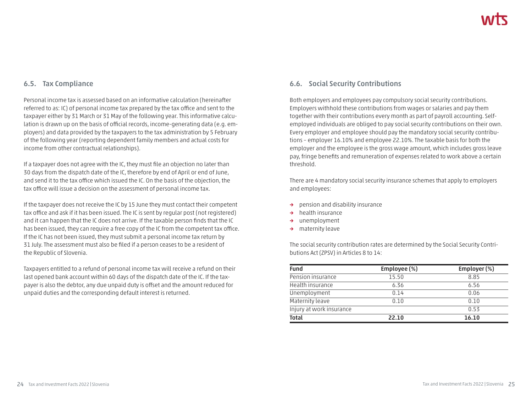#### **6.5. Tax Compliance**

Personal income tax is assessed based on an informative calculation (hereinafter referred to as: IC) of personal income tax prepared by the tax office and sent to the taxpayer either by 31 March or 31 May of the following year. This informative calculation is drawn up on the basis of official records, income-generating data (e.g. employers) and data provided by the taxpayers to the tax administration by 5 February of the following year (reporting dependent family members and actual costs for income from other contractual relationships).

If a taxpayer does not agree with the IC, they must file an objection no later than 30 days from the dispatch date of the IC, therefore by end of April or end of June, and send it to the tax office which issued the IC. On the basis of the objection, the tax office will issue a decision on the assessment of personal income tax.

If the taxpayer does not receive the IC by 15 June they must contact their competent tax office and ask if it has been issued. The IC is sent by regular post (not registered) and it can happen that the IC does not arrive. If the taxable person finds that the IC has been issued, they can require a free copy of the IC from the competent tax office. If the IC has not been issued, they must submit a personal income tax return by 31 July. The assessment must also be filed if a person ceases to be a resident of the Republic of Slovenia.

Taxpayers entitled to a refund of personal income tax will receive a refund on their last opened bank account within 60 days of the dispatch date of the IC. If the taxpayer is also the debtor, any due unpaid duty is offset and the amount reduced for unpaid duties and the corresponding default interest is returned.

### **6.6. Social Security Contributions**

Both employers and employees pay compulsory social security contributions. Employers withhold these contributions from wages or salaries and pay them together with their contributions every month as part of payroll accounting. Selfemployed individuals are obliged to pay social security contributions on their own. Every employer and employee should pay the mandatory social security contributions – employer 16.10% and employee 22.10%. The taxable basis for both the employer and the employee is the gross wage amount, which includes gross leave pay, fringe benefits and remuneration of expenses related to work above a certain threshold.

There are 4 mandatory social security insurance schemes that apply to employers and employees:

- **→** pension and disability insurance
- **→** health insurance
- **→** unemployment
- **→** maternity leave

The social security contribution rates are determined by the Social Security Contributions Act (ZPSV) in Articles 8 to 14:

| Fund                     | Employee (%) | Employer (%) |
|--------------------------|--------------|--------------|
| Pension insurance        | 15.50        | 8.85         |
| Health insurance         | 6.36         | 6.56         |
| Unemployment             | 0.14         | 0.06         |
| Maternity leave          | 0.10         | 0.10         |
| Injury at work insurance |              | 0.53         |
| <b>Total</b>             | 22.10        | 16.10        |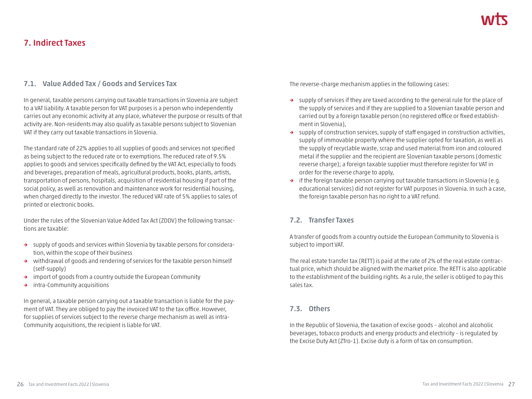### **7. Indirect Taxes**

### **7.1. Value Added Tax / Goods and Services Tax**

In general, taxable persons carrying out taxable transactions in Slovenia are subject to a VAT liability. A taxable person for VAT purposes is a person who independently carries out any economic activity at any place, whatever the purpose or results of that activity are. Non-residents may also qualify as taxable persons subject to Slovenian VAT if they carry out taxable transactions in Slovenia.

The standard rate of 22% applies to all supplies of goods and services not specified as being subject to the reduced rate or to exemptions. The reduced rate of 9.5% applies to goods and services specifically defined by the VAT Act, especially to foods and beverages, preparation of meals, agricultural products, books, plants, artists, transportation of persons, hospitals, acquisition of residential housing if part of the social policy, as well as renovation and maintenance work for residential housing, when charged directly to the investor. The reduced VAT rate of 5% applies to sales of printed or electronic books.

Under the rules of the Slovenian Value Added Tax Act (ZDDV) the following transactions are taxable:

- **→** supply of goods and services within Slovenia by taxable persons for consideration, within the scope of their business
- **→** withdrawal of goods and rendering of services for the taxable person himself (self-supply)
- **→** import of goods from a country outside the European Community
- **→** intra-Community acquisitions

In general, a taxable person carrying out a taxable transaction is liable for the payment of VAT. They are obliged to pay the invoiced VAT to the tax office. However, for supplies of services subject to the reverse charge mechanism as well as intra-Community acquisitions, the recipient is liable for VAT.

The reverse-charge mechanism applies in the following cases:

- **→** supply of services if they are taxed according to the general rule for the place of the supply of services and if they are supplied to a Slovenian taxable person and carried out by a foreign taxable person (no registered office or fixed establishment in Slovenia),
- **→** supply of construction services, supply of staff engaged in construction activities, supply of immovable property where the supplier opted for taxation, as well as the supply of recyclable waste, scrap and used material from iron and coloured metal if the supplier and the recipient are Slovenian taxable persons (domestic reverse charge); a foreign taxable supplier must therefore register for VAT in order for the reverse charge to apply,
- **→** if the foreign taxable person carrying out taxable transactions in Slovenia (e.g. educational services) did not register for VAT purposes in Slovenia. In such a case, the foreign taxable person has no right to a VAT refund.

### **7.2. Transfer Taxes**

A transfer of goods from a country outside the European Community to Slovenia is subject to import VAT.

The real estate transfer tax (RETT) is paid at the rate of 2% of the real estate contractual price, which should be aligned with the market price. The RETT is also applicable to the establishment of the building rights. As a rule, the seller is obliged to pay this sales tax.

#### **7.3. Others**

In the Republic of Slovenia, the taxation of excise goods – alcohol and alcoholic beverages, tobacco products and energy products and electricity – is regulated by the Excise Duty Act (ZTro-1). Excise duty is a form of tax on consumption.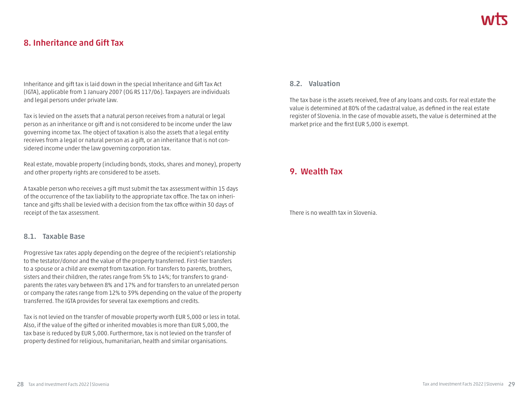### **8. Inheritance and Gift Tax**

Inheritance and gift tax is laid down in the special Inheritance and Gift Tax Act (IGTA), applicable from 1 January 2007 (OG RS 117/06). Taxpayers are individuals and legal persons under private law.

Tax is levied on the assets that a natural person receives from a natural or legal person as an inheritance or gift and is not considered to be income under the law governing income tax. The object of taxation is also the assets that a legal entity receives from a legal or natural person as a gift, or an inheritance that is not considered income under the law governing corporation tax.

Real estate, movable property (including bonds, stocks, shares and money), property and other property rights are considered to be assets.

A taxable person who receives a gift must submit the tax assessment within 15 days of the occurrence of the tax liability to the appropriate tax office. The tax on inheritance and gifts shall be levied with a decision from the tax office within 30 days of receipt of the tax assessment.

#### **8.1. Taxable Base**

Progressive tax rates apply depending on the degree of the recipient's relationship to the testator/donor and the value of the property transferred. First-tier transfers to a spouse or a child are exempt from taxation. For transfers to parents, brothers, sisters and their children, the rates range from 5% to 14%; for transfers to grandparents the rates vary between 8% and 17% and for transfers to an unrelated person or company the rates range from 12% to 39% depending on the value of the property transferred. The IGTA provides for several tax exemptions and credits.

Tax is not levied on the transfer of movable property worth EUR 5,000 or less in total. Also, if the value of the gifted or inherited movables is more than EUR 5,000, the tax base is reduced by EUR 5,000. Furthermore, tax is not levied on the transfer of property destined for religious, humanitarian, health and similar organisations.

#### **8.2. Valuation**

The tax base is the assets received, free of any loans and costs. For real estate the value is determined at 80% of the cadastral value, as defined in the real estate register of Slovenia. In the case of movable assets, the value is determined at the market price and the first EUR 5,000 is exempt.

### **9. Wealth Tax**

There is no wealth tax in Slovenia.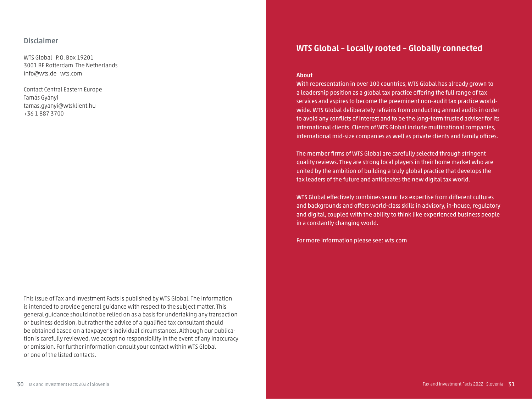#### **Disclaimer**

WTS Global P.O. Box 19201 3001 BE Rotterdam The Netherlands info@wts.de wts.com

Contact Central Eastern Europe Tamás Gyányi tamas.gyanyi@wtsklient.hu +36 1 887 3700

This issue of Tax and Investment Facts is published by WTS Global. The information is intended to provide general guidance with respect to the subject matter. This general guidance should not be relied on as a basis for undertaking any transaction or business decision, but rather the advice of a qualified tax consultant should be obtained based on a taxpayer's individual circumstances. Although our publication is carefully reviewed, we accept no responsibility in the event of any inaccuracy or omission. For further information consult your contact within WTS Global or one of the listed contacts.

### **WTS Global – Locally rooted – Globally connected**

#### **About**

With representation in over 100 countries, WTS Global has already grown to a leadership position as a global tax practice offering the full range of tax services and aspires to become the preeminent non-audit tax practice worldwide. WTS Global deliberately refrains from conducting annual audits in order to avoid any conflicts of interest and to be the long-term trusted adviser for its international clients. Clients of WTS Global include multinational companies, international mid-size companies as well as private clients and family offices.

The member firms of WTS Global are carefully selected through stringent quality reviews. They are strong local players in their home market who are united by the ambition of building a truly global practice that develops the tax leaders of the future and anticipates the new digital tax world.

WTS Global effectively combines senior tax expertise from different cultures and backgrounds and offers world-class skills in advisory, in-house, regulatory and digital, coupled with the ability to think like experienced business people in a constantly changing world.

For more information please see: wts.com